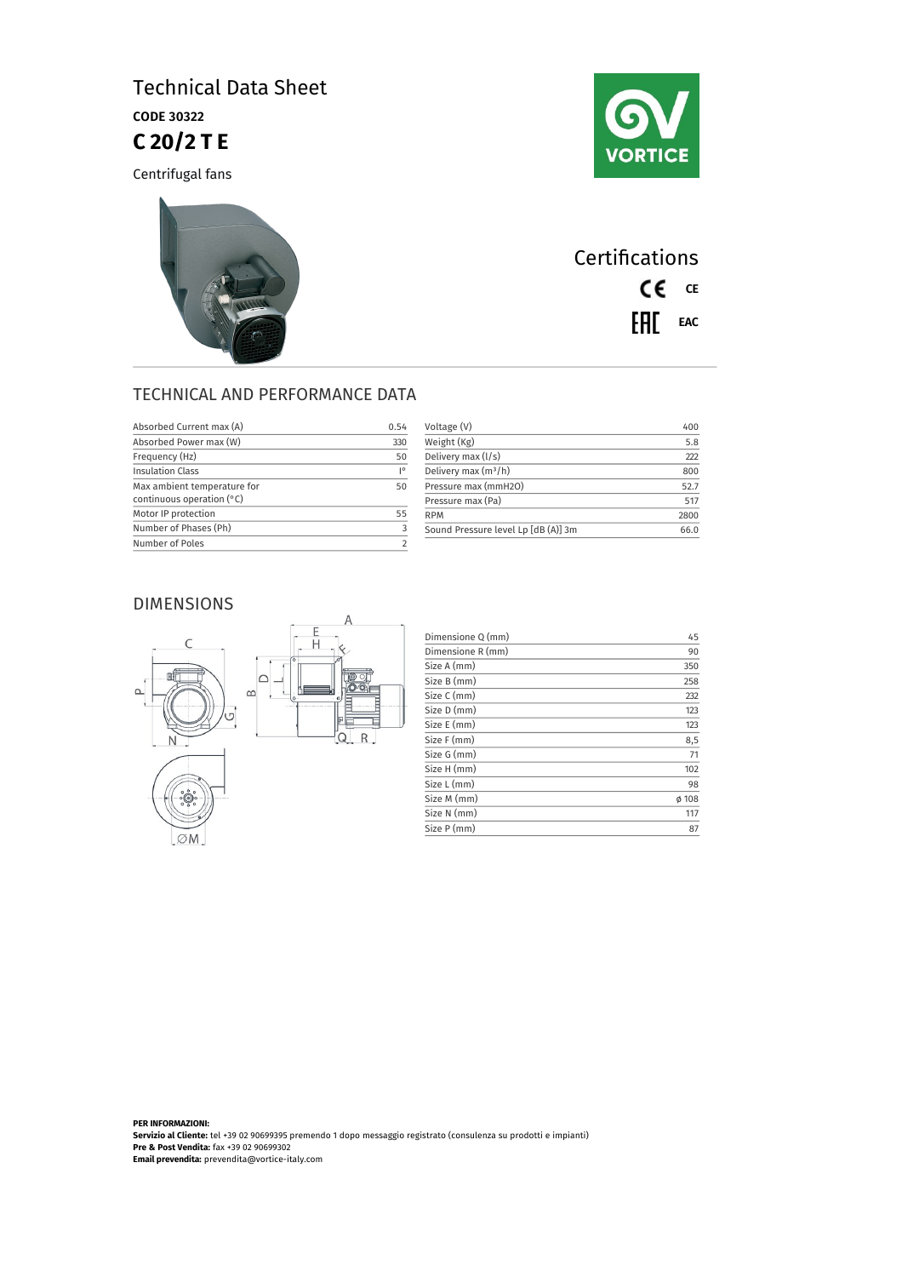## Technical Data Sheet CODE 30322 **C 20/2 T E**

Centrifugal fans





**Certifications** CE CE EAL EAC

## TECHNICAL AND PERFORMANCE DATA

| Absorbed Current max (A)                                 | 0.54                      |
|----------------------------------------------------------|---------------------------|
| Absorbed Power max (W)                                   | 330                       |
| Frequency (Hz)                                           | 50                        |
| <b>Insulation Class</b>                                  | $\mathsf{I}^{\mathsf{o}}$ |
| Max ambient temperature for<br>continuous operation (°C) | 50                        |
| Motor IP protection                                      | 55                        |
| Number of Phases (Ph)                                    |                           |
| Number of Poles                                          |                           |

| Voltage (V)                         | 400  |
|-------------------------------------|------|
| Weight (Kg)                         | 5.8  |
| Delivery max (I/s)                  | າາາ  |
| Delivery max $(m^3/h)$              | 800  |
| Pressure max (mmH2O)                | 52.7 |
| Pressure max (Pa)                   | 517  |
| <b>RPM</b>                          | 2800 |
| Sound Pressure level Lp [dB (A)] 3m | 66 O |
|                                     |      |

### DIMENSIONS



| Dimensione Q (mm) | 45    |
|-------------------|-------|
| Dimensione R (mm) | 90    |
| Size A (mm)       | 350   |
| Size B (mm)       | 258   |
| Size C (mm)       | 232   |
| Size D (mm)       | 123   |
| Size E (mm)       | 123   |
| Size F (mm)       | 8,5   |
| Size G (mm)       | 71    |
| Size H (mm)       | 102   |
| Size L (mm)       | 98    |
| Size M (mm)       | Ø 108 |
| Size N (mm)       | 117   |
| Size P (mm)       | 87    |

**PER INFORMAZIONI: Servizio al Cliente:** tel +39 02 90699395 premendo 1 dopo messaggio registrato (consulenza su prodotti e impianti) **Pre & Post Vendita:** fax +39 02 90699302 **Email prevendita:** prevendita@vortice-italy.com